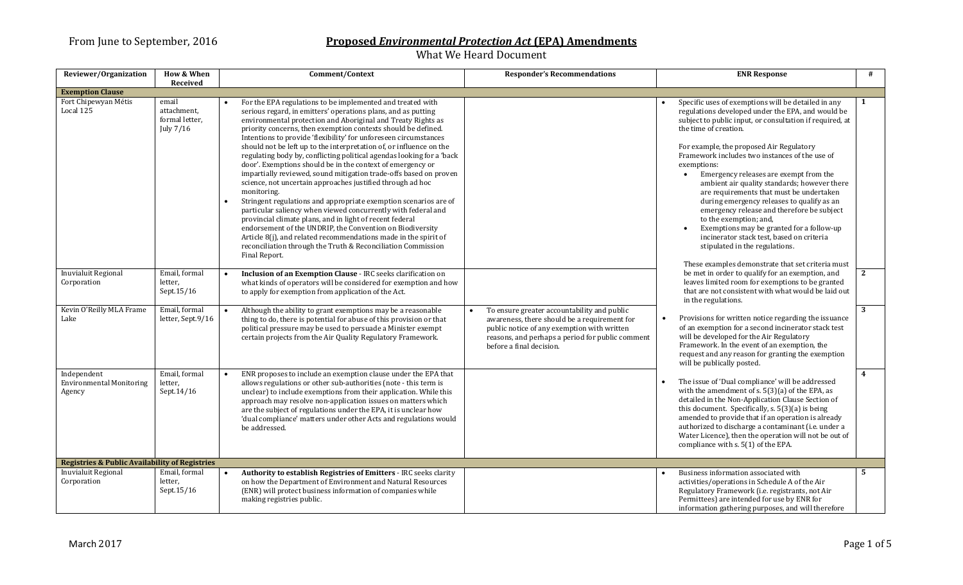| Reviewer/Organization                                     | <b>How &amp; When</b><br>Received                   | Comment/Context                                                                                                                                                                                                                                                                                                                                                                                                                                                                                                                                                                                                                                                                                                                                                                                                                                                                                                                                                                                                                                                                                                    | <b>Responder's Recommendations</b>                                                                                                                                                                                         | <b>ENR Response</b>                                                                                                                                                                                                                                                                                                                                                                                                                                                                                                                                                                                                                                                                                                                                     | #              |
|-----------------------------------------------------------|-----------------------------------------------------|--------------------------------------------------------------------------------------------------------------------------------------------------------------------------------------------------------------------------------------------------------------------------------------------------------------------------------------------------------------------------------------------------------------------------------------------------------------------------------------------------------------------------------------------------------------------------------------------------------------------------------------------------------------------------------------------------------------------------------------------------------------------------------------------------------------------------------------------------------------------------------------------------------------------------------------------------------------------------------------------------------------------------------------------------------------------------------------------------------------------|----------------------------------------------------------------------------------------------------------------------------------------------------------------------------------------------------------------------------|---------------------------------------------------------------------------------------------------------------------------------------------------------------------------------------------------------------------------------------------------------------------------------------------------------------------------------------------------------------------------------------------------------------------------------------------------------------------------------------------------------------------------------------------------------------------------------------------------------------------------------------------------------------------------------------------------------------------------------------------------------|----------------|
| <b>Exemption Clause</b>                                   |                                                     |                                                                                                                                                                                                                                                                                                                                                                                                                                                                                                                                                                                                                                                                                                                                                                                                                                                                                                                                                                                                                                                                                                                    |                                                                                                                                                                                                                            |                                                                                                                                                                                                                                                                                                                                                                                                                                                                                                                                                                                                                                                                                                                                                         |                |
| Fort Chipewyan Métis<br>Local 125                         | email<br>attachment,<br>formal letter,<br>July 7/16 | For the EPA regulations to be implemented and treated with<br>serious regard, in emitters' operations plans, and as putting<br>environmental protection and Aboriginal and Treaty Rights as<br>priority concerns, then exemption contexts should be defined.<br>Intentions to provide 'flexibility' for unforeseen circumstances<br>should not be left up to the interpretation of, or influence on the<br>regulating body by, conflicting political agendas looking for a 'back<br>door'. Exemptions should be in the context of emergency or<br>impartially reviewed, sound mitigation trade-offs based on proven<br>science, not uncertain approaches justified through ad hoc<br>monitoring.<br>Stringent regulations and appropriate exemption scenarios are of<br>particular saliency when viewed concurrently with federal and<br>provincial climate plans, and in light of recent federal<br>endorsement of the UNDRIP, the Convention on Biodiversity<br>Article 8(j), and related recommendations made in the spirit of<br>reconciliation through the Truth & Reconciliation Commission<br>Final Report. |                                                                                                                                                                                                                            | Specific uses of exemptions will be detailed in any<br>regulations developed under the EPA, and would be<br>subject to public input, or consultation if required, at<br>the time of creation.<br>For example, the proposed Air Regulatory<br>Framework includes two instances of the use of<br>exemptions:<br>Emergency releases are exempt from the<br>ambient air quality standards; however there<br>are requirements that must be undertaken<br>during emergency releases to qualify as an<br>emergency release and therefore be subject<br>to the exemption; and,<br>Exemptions may be granted for a follow-up<br>incinerator stack test, based on criteria<br>stipulated in the regulations.<br>These examples demonstrate that set criteria must | $\mathbf{1}$   |
| Inuvialuit Regional<br>Corporation                        | Email, formal<br>letter,<br>Sept.15/16              | Inclusion of an Exemption Clause - IRC seeks clarification on<br>what kinds of operators will be considered for exemption and how<br>to apply for exemption from application of the Act.                                                                                                                                                                                                                                                                                                                                                                                                                                                                                                                                                                                                                                                                                                                                                                                                                                                                                                                           |                                                                                                                                                                                                                            | be met in order to qualify for an exemption, and<br>leaves limited room for exemptions to be granted<br>that are not consistent with what would be laid out<br>in the regulations.                                                                                                                                                                                                                                                                                                                                                                                                                                                                                                                                                                      | $\mathbf{2}$   |
| Kevin O'Reilly MLA Frame<br>Lake                          | Email, formal<br>letter, Sept.9/16                  | Although the ability to grant exemptions may be a reasonable<br>thing to do, there is potential for abuse of this provision or that<br>political pressure may be used to persuade a Minister exempt<br>certain projects from the Air Quality Regulatory Framework.                                                                                                                                                                                                                                                                                                                                                                                                                                                                                                                                                                                                                                                                                                                                                                                                                                                 | To ensure greater accountability and public<br>awareness, there should be a requirement for<br>public notice of any exemption with written<br>reasons, and perhaps a period for public comment<br>before a final decision. | Provisions for written notice regarding the issuance<br>of an exemption for a second incinerator stack test<br>will be developed for the Air Regulatory<br>Framework. In the event of an exemption, the<br>request and any reason for granting the exemption<br>will be publically posted.                                                                                                                                                                                                                                                                                                                                                                                                                                                              | 3              |
| Independent<br><b>Environmental Monitoring</b><br>Agency  | Email, formal<br>letter,<br>Sept. $14/16$           | ENR proposes to include an exemption clause under the EPA that<br>allows regulations or other sub-authorities (note - this term is<br>unclear) to include exemptions from their application. While this<br>approach may resolve non-application issues on matters which<br>are the subject of regulations under the EPA, it is unclear how<br>'dual compliance' matters under other Acts and regulations would<br>be addressed.                                                                                                                                                                                                                                                                                                                                                                                                                                                                                                                                                                                                                                                                                    |                                                                                                                                                                                                                            | The issue of 'Dual compliance' will be addressed<br>with the amendment of s. 5(3)(a) of the EPA, as<br>detailed in the Non-Application Clause Section of<br>this document. Specifically, s. 5(3)(a) is being<br>amended to provide that if an operation is already<br>authorized to discharge a contaminant (i.e. under a<br>Water Licence), then the operation will not be out of<br>compliance with s. 5(1) of the EPA.                                                                                                                                                                                                                                                                                                                               | $\overline{4}$ |
| <b>Registries &amp; Public Availability of Registries</b> |                                                     |                                                                                                                                                                                                                                                                                                                                                                                                                                                                                                                                                                                                                                                                                                                                                                                                                                                                                                                                                                                                                                                                                                                    |                                                                                                                                                                                                                            |                                                                                                                                                                                                                                                                                                                                                                                                                                                                                                                                                                                                                                                                                                                                                         |                |
| Inuvialuit Regional<br>Corporation                        | Email, formal<br>letter,<br>Sept.15/16              | Authority to establish Registries of Emitters - IRC seeks clarity<br>on how the Department of Environment and Natural Resources<br>(ENR) will protect business information of companies while<br>making registries public.                                                                                                                                                                                                                                                                                                                                                                                                                                                                                                                                                                                                                                                                                                                                                                                                                                                                                         |                                                                                                                                                                                                                            | Business information associated with<br>activities/operations in Schedule A of the Air<br>Regulatory Framework (i.e. registrants, not Air<br>Permittees) are intended for use by ENR for<br>information gathering purposes, and will therefore                                                                                                                                                                                                                                                                                                                                                                                                                                                                                                          | 5              |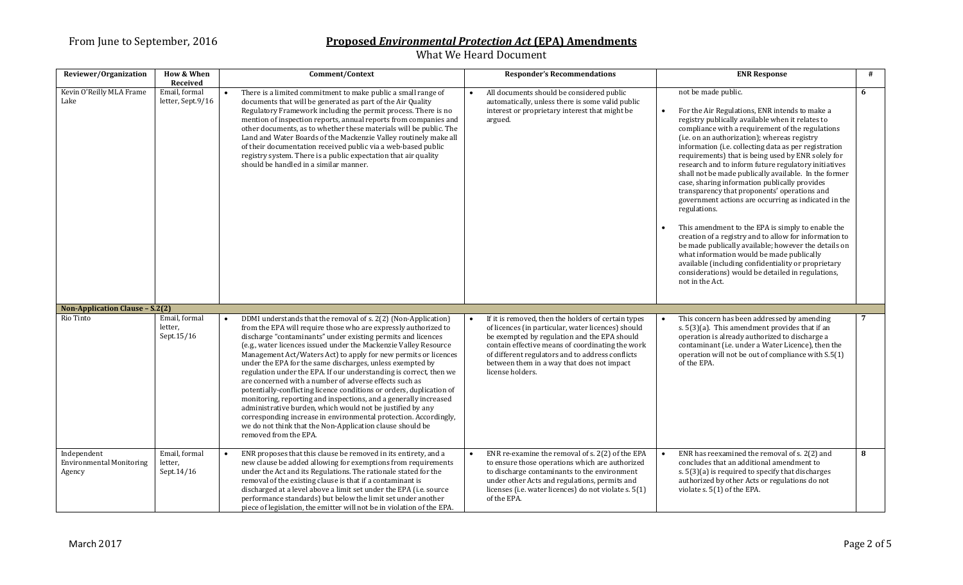| Reviewer/Organization                                    | <b>How &amp; When</b>                          | Comment/Context                                                                                                                                                                                                                                                                                                                                                                                                                                                                                                                                                                                                                                                                                                                                                                                                                                                                                           | <b>Responder's Recommendations</b>                                                                                                                                                                                                                                                                                                  | <b>ENR Response</b>                                                                                                                                                                                                                                                                                                                                                                                                                                                                                                                                                                                                                                                                                                                                                                                                                                                                                                                                                                       | # |
|----------------------------------------------------------|------------------------------------------------|-----------------------------------------------------------------------------------------------------------------------------------------------------------------------------------------------------------------------------------------------------------------------------------------------------------------------------------------------------------------------------------------------------------------------------------------------------------------------------------------------------------------------------------------------------------------------------------------------------------------------------------------------------------------------------------------------------------------------------------------------------------------------------------------------------------------------------------------------------------------------------------------------------------|-------------------------------------------------------------------------------------------------------------------------------------------------------------------------------------------------------------------------------------------------------------------------------------------------------------------------------------|-------------------------------------------------------------------------------------------------------------------------------------------------------------------------------------------------------------------------------------------------------------------------------------------------------------------------------------------------------------------------------------------------------------------------------------------------------------------------------------------------------------------------------------------------------------------------------------------------------------------------------------------------------------------------------------------------------------------------------------------------------------------------------------------------------------------------------------------------------------------------------------------------------------------------------------------------------------------------------------------|---|
| Kevin O'Reilly MLA Frame<br>Lake                         | Received<br>Email, formal<br>letter, Sept.9/16 | There is a limited commitment to make public a small range of<br>documents that will be generated as part of the Air Quality<br>Regulatory Framework including the permit process. There is no<br>mention of inspection reports, annual reports from companies and<br>other documents, as to whether these materials will be public. The<br>Land and Water Boards of the Mackenzie Valley routinely make all<br>of their documentation received public via a web-based public<br>registry system. There is a public expectation that air quality<br>should be handled in a similar manner.                                                                                                                                                                                                                                                                                                                | All documents should be considered public<br>automatically, unless there is some valid public<br>interest or proprietary interest that might be<br>argued.                                                                                                                                                                          | not be made public.<br>For the Air Regulations, ENR intends to make a<br>registry publically available when it relates to<br>compliance with a requirement of the regulations<br>(i.e. on an authorization); whereas registry<br>information (i.e. collecting data as per registration<br>requirements) that is being used by ENR solely for<br>research and to inform future regulatory initiatives<br>shall not be made publically available. In the former<br>case, sharing information publically provides<br>transparency that proponents' operations and<br>government actions are occurring as indicated in the<br>regulations.<br>This amendment to the EPA is simply to enable the<br>creation of a registry and to allow for information to<br>be made publically available; however the details on<br>what information would be made publically<br>available (including confidentiality or proprietary<br>considerations) would be detailed in regulations,<br>not in the Act. | 6 |
| Non-Application Clause - S.2(2)                          |                                                |                                                                                                                                                                                                                                                                                                                                                                                                                                                                                                                                                                                                                                                                                                                                                                                                                                                                                                           |                                                                                                                                                                                                                                                                                                                                     |                                                                                                                                                                                                                                                                                                                                                                                                                                                                                                                                                                                                                                                                                                                                                                                                                                                                                                                                                                                           |   |
| Rio Tinto                                                | Email, formal<br>letter,<br>Sept.15/16         | DDMI understands that the removal of s. 2(2) (Non-Application)<br>from the EPA will require those who are expressly authorized to<br>discharge "contaminants" under existing permits and licences<br>(e.g., water licences issued under the Mackenzie Valley Resource<br>Management Act/Waters Act) to apply for new permits or licences<br>under the EPA for the same discharges, unless exempted by<br>regulation under the EPA. If our understanding is correct, then we<br>are concerned with a number of adverse effects such as<br>potentially-conflicting licence conditions or orders, duplication of<br>monitoring, reporting and inspections, and a generally increased<br>administrative burden, which would not be justified by any<br>corresponding increase in environmental protection. Accordingly,<br>we do not think that the Non-Application clause should be<br>removed from the EPA. | If it is removed, then the holders of certain types<br>of licences (in particular, water licences) should<br>be exempted by regulation and the EPA should<br>contain effective means of coordinating the work<br>of different regulators and to address conflicts<br>between them in a way that does not impact<br>license holders. | This concern has been addressed by amending<br>s. $5(3)(a)$ . This amendment provides that if an<br>operation is already authorized to discharge a<br>contaminant (i.e. under a Water Licence), then the<br>operation will not be out of compliance with S.5(1)<br>of the EPA.                                                                                                                                                                                                                                                                                                                                                                                                                                                                                                                                                                                                                                                                                                            |   |
| Independent<br><b>Environmental Monitoring</b><br>Agency | Email, formal<br>letter,<br>Sept.14/16         | ENR proposes that this clause be removed in its entirety, and a<br>new clause be added allowing for exemptions from requirements<br>under the Act and its Regulations. The rationale stated for the<br>removal of the existing clause is that if a contaminant is<br>discharged at a level above a limit set under the EPA (i.e. source<br>performance standards) but below the limit set under another<br>piece of legislation, the emitter will not be in violation of the EPA.                                                                                                                                                                                                                                                                                                                                                                                                                         | ENR re-examine the removal of s. 2(2) of the EPA<br>to ensure those operations which are authorized<br>to discharge contaminants to the environment<br>under other Acts and regulations, permits and<br>licenses (i.e. water licences) do not violate s. 5(1)<br>of the EPA.                                                        | ENR has reexamined the removal of s. 2(2) and<br>concludes that an additional amendment to<br>s. 5(3)(a) is required to specify that discharges<br>authorized by other Acts or regulations do not<br>violate s. 5(1) of the EPA.                                                                                                                                                                                                                                                                                                                                                                                                                                                                                                                                                                                                                                                                                                                                                          | 8 |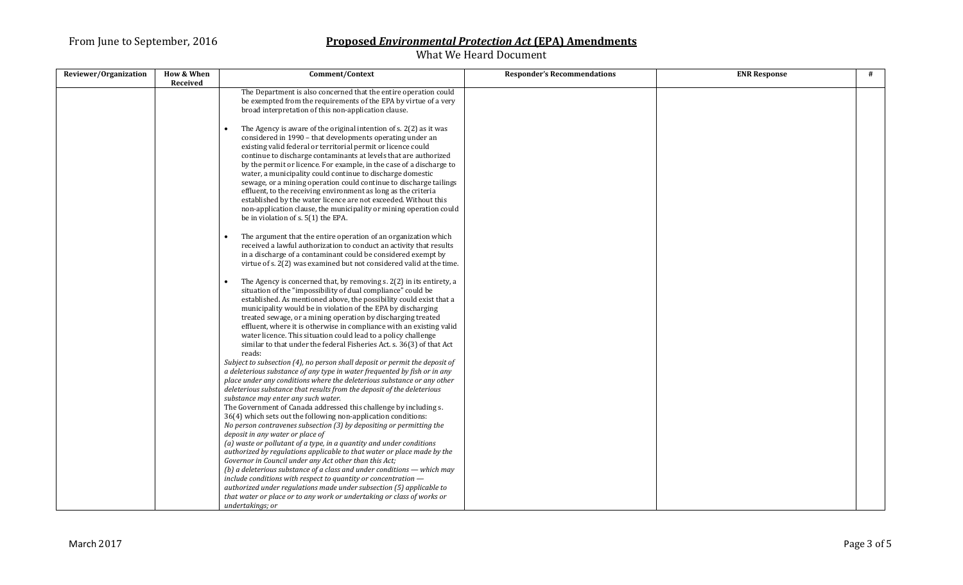| Reviewer/Organization | <b>How &amp; When</b> | Comment/Context                                                                                                                                                                                                                                                                                                                                                                                                                                                                                                                                                          | <b>Responder's Recommendations</b> | <b>ENR Response</b> | # |
|-----------------------|-----------------------|--------------------------------------------------------------------------------------------------------------------------------------------------------------------------------------------------------------------------------------------------------------------------------------------------------------------------------------------------------------------------------------------------------------------------------------------------------------------------------------------------------------------------------------------------------------------------|------------------------------------|---------------------|---|
|                       | Received              |                                                                                                                                                                                                                                                                                                                                                                                                                                                                                                                                                                          |                                    |                     |   |
|                       |                       | The Department is also concerned that the entire operation could<br>be exempted from the requirements of the EPA by virtue of a very<br>broad interpretation of this non-application clause.<br>The Agency is aware of the original intention of s. 2(2) as it was<br>considered in 1990 - that developments operating under an<br>existing valid federal or territorial permit or licence could<br>continue to discharge contaminants at levels that are authorized<br>by the permit or licence. For example, in the case of a discharge to                             |                                    |                     |   |
|                       |                       | water, a municipality could continue to discharge domestic<br>sewage, or a mining operation could continue to discharge tailings<br>effluent, to the receiving environment as long as the criteria<br>established by the water licence are not exceeded. Without this<br>non-application clause, the municipality or mining operation could<br>be in violation of s. 5(1) the EPA.                                                                                                                                                                                       |                                    |                     |   |
|                       |                       | The argument that the entire operation of an organization which<br>received a lawful authorization to conduct an activity that results<br>in a discharge of a contaminant could be considered exempt by<br>virtue of s. 2(2) was examined but not considered valid at the time.                                                                                                                                                                                                                                                                                          |                                    |                     |   |
|                       |                       | The Agency is concerned that, by removing s. 2(2) in its entirety, a<br>situation of the "impossibility of dual compliance" could be<br>established. As mentioned above, the possibility could exist that a<br>municipality would be in violation of the EPA by discharging<br>treated sewage, or a mining operation by discharging treated<br>effluent, where it is otherwise in compliance with an existing valid<br>water licence. This situation could lead to a policy challenge<br>similar to that under the federal Fisheries Act. s. 36(3) of that Act<br>reads: |                                    |                     |   |
|                       |                       | Subject to subsection (4), no person shall deposit or permit the deposit of<br>a deleterious substance of any type in water frequented by fish or in any<br>place under any conditions where the deleterious substance or any other<br>deleterious substance that results from the deposit of the deleterious<br>substance may enter any such water.                                                                                                                                                                                                                     |                                    |                     |   |
|                       |                       | The Government of Canada addressed this challenge by including s.<br>36(4) which sets out the following non-application conditions:<br>No person contravenes subsection (3) by depositing or permitting the<br>deposit in any water or place of<br>(a) waste or pollutant of a type, in a quantity and under conditions                                                                                                                                                                                                                                                  |                                    |                     |   |
|                       |                       | authorized by regulations applicable to that water or place made by the<br>Governor in Council under any Act other than this Act;<br>(b) a deleterious substance of a class and under conditions $-$ which may<br>include conditions with respect to quantity or concentration -                                                                                                                                                                                                                                                                                         |                                    |                     |   |
|                       |                       | authorized under regulations made under subsection (5) applicable to<br>that water or place or to any work or undertaking or class of works or<br>undertakings; or                                                                                                                                                                                                                                                                                                                                                                                                       |                                    |                     |   |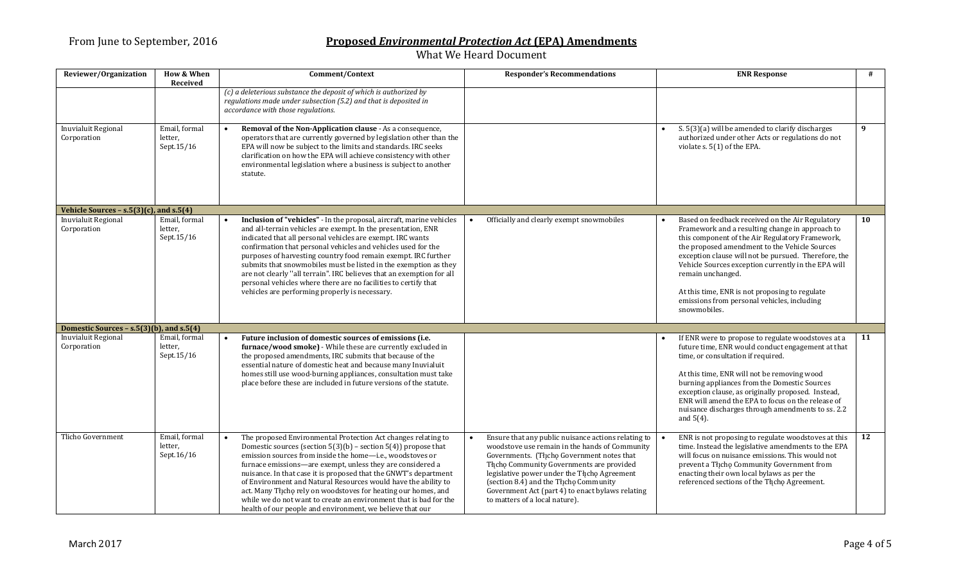| Reviewer/Organization                        | <b>How &amp; When</b><br>Received      | Comment/Context                                                                                                                                                                                                                                                                                                                                                                                                                                                                                                                                                                                          | <b>Responder's Recommendations</b>                                                                                                                                                                                                                                                                                                                                             | <b>ENR Response</b>                                                                                                                                                                                                                                                                                                                                                                                                                                          | #  |
|----------------------------------------------|----------------------------------------|----------------------------------------------------------------------------------------------------------------------------------------------------------------------------------------------------------------------------------------------------------------------------------------------------------------------------------------------------------------------------------------------------------------------------------------------------------------------------------------------------------------------------------------------------------------------------------------------------------|--------------------------------------------------------------------------------------------------------------------------------------------------------------------------------------------------------------------------------------------------------------------------------------------------------------------------------------------------------------------------------|--------------------------------------------------------------------------------------------------------------------------------------------------------------------------------------------------------------------------------------------------------------------------------------------------------------------------------------------------------------------------------------------------------------------------------------------------------------|----|
|                                              |                                        | $(c)$ a deleterious substance the deposit of which is authorized by<br>regulations made under subsection (5.2) and that is deposited in<br>accordance with those regulations.                                                                                                                                                                                                                                                                                                                                                                                                                            |                                                                                                                                                                                                                                                                                                                                                                                |                                                                                                                                                                                                                                                                                                                                                                                                                                                              |    |
| <b>Inuvialuit Regional</b><br>Corporation    | Email, formal<br>letter,<br>Sept.15/16 | Removal of the Non-Application clause - As a consequence,<br>operators that are currently governed by legislation other than the<br>EPA will now be subject to the limits and standards. IRC seeks<br>clarification on how the EPA will achieve consistency with other<br>environmental legislation where a business is subject to another<br>statute.                                                                                                                                                                                                                                                   |                                                                                                                                                                                                                                                                                                                                                                                | S. 5(3)(a) will be amended to clarify discharges<br>authorized under other Acts or regulations do not<br>violate s. 5(1) of the EPA.                                                                                                                                                                                                                                                                                                                         | 9  |
| Vehicle Sources - $s.5(3)(c)$ , and $s.5(4)$ |                                        |                                                                                                                                                                                                                                                                                                                                                                                                                                                                                                                                                                                                          |                                                                                                                                                                                                                                                                                                                                                                                |                                                                                                                                                                                                                                                                                                                                                                                                                                                              |    |
| <b>Inuvialuit Regional</b><br>Corporation    | Email, formal<br>letter,<br>Sept.15/16 | Inclusion of "vehicles" - In the proposal, aircraft, marine vehicles<br>and all-terrain vehicles are exempt. In the presentation, ENR<br>indicated that all personal vehicles are exempt. IRC wants<br>confirmation that personal vehicles and vehicles used for the<br>purposes of harvesting country food remain exempt. IRC further<br>submits that snowmobiles must be listed in the exemption as they<br>are not clearly "all terrain". IRC believes that an exemption for all<br>personal vehicles where there are no facilities to certify that<br>vehicles are performing properly is necessary. | Officially and clearly exempt snowmobiles                                                                                                                                                                                                                                                                                                                                      | Based on feedback received on the Air Regulatory<br>Framework and a resulting change in approach to<br>this component of the Air Regulatory Framework,<br>the proposed amendment to the Vehicle Sources<br>exception clause will not be pursued. Therefore, the<br>Vehicle Sources exception currently in the EPA will<br>remain unchanged.<br>At this time, ENR is not proposing to regulate<br>emissions from personal vehicles, including<br>snowmobiles. | 10 |
| Domestic Sources - s.5(3)(b), and s.5(4)     |                                        |                                                                                                                                                                                                                                                                                                                                                                                                                                                                                                                                                                                                          |                                                                                                                                                                                                                                                                                                                                                                                |                                                                                                                                                                                                                                                                                                                                                                                                                                                              |    |
| <b>Inuvialuit Regional</b><br>Corporation    | Email, formal<br>letter,<br>Sept.15/16 | Future inclusion of domestic sources of emissions (i.e.<br>furnace/wood smoke) - While these are currently excluded in<br>the proposed amendments, IRC submits that because of the<br>essential nature of domestic heat and because many Inuvialuit<br>homes still use wood-burning appliances, consultation must take<br>place before these are included in future versions of the statute.                                                                                                                                                                                                             |                                                                                                                                                                                                                                                                                                                                                                                | If ENR were to propose to regulate woodstoves at a<br>future time, ENR would conduct engagement at that<br>time, or consultation if required.<br>At this time, ENR will not be removing wood<br>burning appliances from the Domestic Sources<br>exception clause, as originally proposed. Instead,<br>ENR will amend the EPA to focus on the release of<br>nuisance discharges through amendments to ss. 2.2<br>and $5(4)$ .                                 | 11 |
| Tlicho Government                            | Email, formal<br>letter,<br>Sept.16/16 | The proposed Environmental Protection Act changes relating to<br>Domestic sources (section $5(3)(b)$ – section $5(4)$ ) propose that<br>emission sources from inside the home-i.e., woodstoves or<br>furnace emissions-are exempt, unless they are considered a<br>nuisance. In that case it is proposed that the GNWT's department<br>of Environment and Natural Resources would have the ability to<br>act. Many Thcho rely on woodstoves for heating our homes, and<br>while we do not want to create an environment that is bad for the<br>health of our people and environment, we believe that our | Ensure that any public nuisance actions relating to<br>woodstove use remain in the hands of Community<br>Governments. (Thcho Government notes that<br>Tłįchę Community Governments are provided<br>legislative power under the Thcho Agreement<br>(section 8.4) and the Tłįchę Community<br>Government Act (part 4) to enact bylaws relating<br>to matters of a local nature). | ENR is not proposing to regulate woodstoves at this<br>time. Instead the legislative amendments to the EPA<br>will focus on nuisance emissions. This would not<br>prevent a Tłįchę Community Government from<br>enacting their own local bylaws as per the<br>referenced sections of the Tłįchę Agreement.                                                                                                                                                   | 12 |